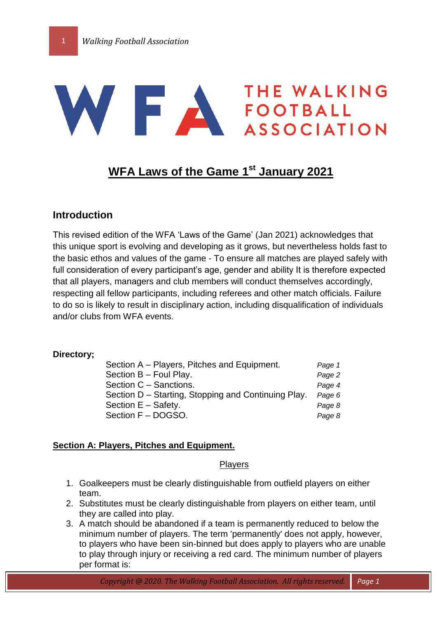# WERE A THE WALKING

# **WFA Laws of the Game 1 st January 2021**

# **Introduction**

This revised edition of the WFA 'Laws of the Game' (Jan 2021) acknowledges that this unique sport is evolving and developing as it grows, but nevertheless holds fast to the basic ethos and values of the game - To ensure all matches are played safely with full consideration of every participant's age, gender and ability It is therefore expected that all players, managers and club members will conduct themselves accordingly, respecting all fellow participants, including referees and other match officials. Failure to do so is likely to result in disciplinary action, including disqualification of individuals and/or clubs from WFA events.

#### **Directory;**

| Section A – Players, Pitches and Equipment.         | Page 1 |
|-----------------------------------------------------|--------|
| Section B - Foul Play.                              | Page 2 |
| Section C - Sanctions.                              | Page 4 |
| Section D – Starting, Stopping and Continuing Play. | Page 6 |
| Section $E -$ Safety.                               | Page 8 |
| Section F - DOGSO.                                  | Page 8 |

## **Section A: Players, Pitches and Equipment.**

#### **Players**

- 1. Goalkeepers must be clearly distinguishable from outfield players on either team.
- 2. Substitutes must be clearly distinguishable from players on either team, until they are called into play.
- 3. A match should be abandoned if a team is permanently reduced to below the minimum number of players. The term 'permanently' does not apply, however, to players who have been sin-binned but does apply to players who are unable to play through injury or receiving a red card. The minimum number of players per format is: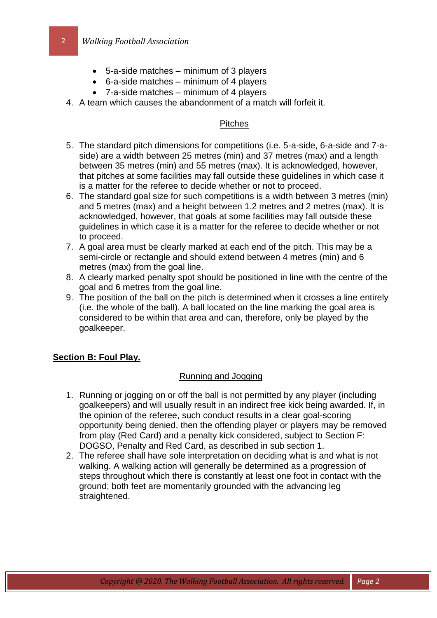- 5-a-side matches minimum of 3 players
- 6-a-side matches minimum of 4 players
- 7-a-side matches minimum of 4 players
- 4. A team which causes the abandonment of a match will forfeit it.

## **Pitches**

- 5. The standard pitch dimensions for competitions (i.e. 5-a-side, 6-a-side and 7-aside) are a width between 25 metres (min) and 37 metres (max) and a length between 35 metres (min) and 55 metres (max). It is acknowledged, however, that pitches at some facilities may fall outside these guidelines in which case it is a matter for the referee to decide whether or not to proceed.
- 6. The standard goal size for such competitions is a width between 3 metres (min) and 5 metres (max) and a height between 1.2 metres and 2 metres (max). It is acknowledged, however, that goals at some facilities may fall outside these guidelines in which case it is a matter for the referee to decide whether or not to proceed.
- 7. A goal area must be clearly marked at each end of the pitch. This may be a semi-circle or rectangle and should extend between 4 metres (min) and 6 metres (max) from the goal line.
- 8. A clearly marked penalty spot should be positioned in line with the centre of the goal and 6 metres from the goal line.
- 9. The position of the ball on the pitch is determined when it crosses a line entirely (i.e. the whole of the ball). A ball located on the line marking the goal area is considered to be within that area and can, therefore, only be played by the goalkeeper.

# **Section B: Foul Play.**

# Running and Jogging

- 1. Running or jogging on or off the ball is not permitted by any player (including goalkeepers) and will usually result in an indirect free kick being awarded. If, in the opinion of the referee, such conduct results in a clear goal-scoring opportunity being denied, then the offending player or players may be removed from play (Red Card) and a penalty kick considered, subject to Section F: DOGSO, Penalty and Red Card, as described in sub section 1.
- 2. The referee shall have sole interpretation on deciding what is and what is not walking. A walking action will generally be determined as a progression of steps throughout which there is constantly at least one foot in contact with the ground; both feet are momentarily grounded with the advancing leg straightened.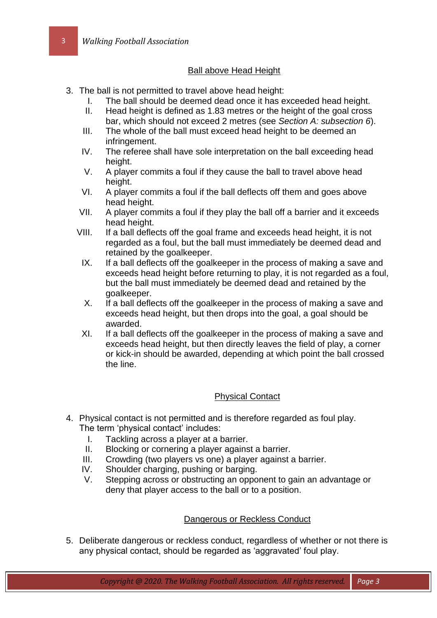# Ball above Head Height

- 3. The ball is not permitted to travel above head height:
	- I. The ball should be deemed dead once it has exceeded head height.
	- II. Head height is defined as 1.83 metres or the height of the goal cross bar, which should not exceed 2 metres (see *Section A: subsection 6*).
	- III. The whole of the ball must exceed head height to be deemed an infringement.
	- IV. The referee shall have sole interpretation on the ball exceeding head height.
	- V. A player commits a foul if they cause the ball to travel above head height.
	- VI. A player commits a foul if the ball deflects off them and goes above head height.
	- VII. A player commits a foul if they play the ball off a barrier and it exceeds head height.
	- VIII. If a ball deflects off the goal frame and exceeds head height, it is not regarded as a foul, but the ball must immediately be deemed dead and retained by the goalkeeper.
		- IX. If a ball deflects off the goalkeeper in the process of making a save and exceeds head height before returning to play, it is not regarded as a foul, but the ball must immediately be deemed dead and retained by the goalkeeper.
		- X. If a ball deflects off the goalkeeper in the process of making a save and exceeds head height, but then drops into the goal, a goal should be awarded.
		- XI. If a ball deflects off the goalkeeper in the process of making a save and exceeds head height, but then directly leaves the field of play, a corner or kick-in should be awarded, depending at which point the ball crossed the line.

## Physical Contact

- 4. Physical contact is not permitted and is therefore regarded as foul play. The term 'physical contact' includes:
	- I. Tackling across a player at a barrier.
	- II. Blocking or cornering a player against a barrier.
	- III. Crowding (two players vs one) a player against a barrier.
	- IV. Shoulder charging, pushing or barging.
	- V. Stepping across or obstructing an opponent to gain an advantage or deny that player access to the ball or to a position.

## Dangerous or Reckless Conduct

5. Deliberate dangerous or reckless conduct, regardless of whether or not there is any physical contact, should be regarded as 'aggravated' foul play.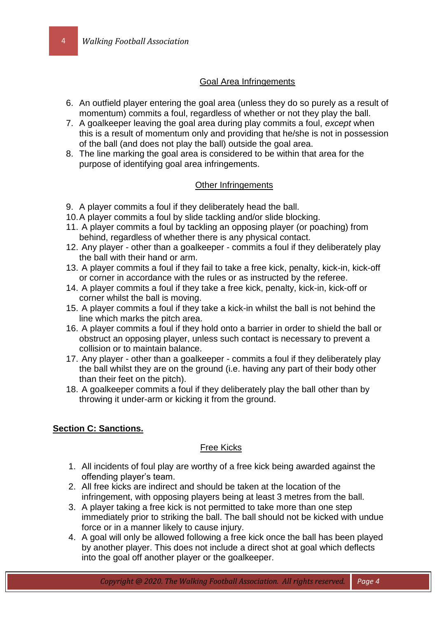#### Goal Area Infringements

- 6. An outfield player entering the goal area (unless they do so purely as a result of momentum) commits a foul, regardless of whether or not they play the ball.
- 7. A goalkeeper leaving the goal area during play commits a foul, *except* when this is a result of momentum only and providing that he/she is not in possession of the ball (and does not play the ball) outside the goal area.
- 8. The line marking the goal area is considered to be within that area for the purpose of identifying goal area infringements.

## Other Infringements

- 9. A player commits a foul if they deliberately head the ball.
- 10.A player commits a foul by slide tackling and/or slide blocking.
- 11. A player commits a foul by tackling an opposing player (or poaching) from behind, regardless of whether there is any physical contact.
- 12. Any player other than a goalkeeper commits a foul if they deliberately play the ball with their hand or arm.
- 13. A player commits a foul if they fail to take a free kick, penalty, kick-in, kick-off or corner in accordance with the rules or as instructed by the referee.
- 14. A player commits a foul if they take a free kick, penalty, kick-in, kick-off or corner whilst the ball is moving.
- 15. A player commits a foul if they take a kick-in whilst the ball is not behind the line which marks the pitch area.
- 16. A player commits a foul if they hold onto a barrier in order to shield the ball or obstruct an opposing player, unless such contact is necessary to prevent a collision or to maintain balance.
- 17. Any player other than a goalkeeper commits a foul if they deliberately play the ball whilst they are on the ground (i.e. having any part of their body other than their feet on the pitch).
- 18. A goalkeeper commits a foul if they deliberately play the ball other than by throwing it under-arm or kicking it from the ground.

## **Section C: Sanctions.**

#### Free Kicks

- 1. All incidents of foul play are worthy of a free kick being awarded against the offending player's team.
- 2. All free kicks are indirect and should be taken at the location of the infringement, with opposing players being at least 3 metres from the ball.
- 3. A player taking a free kick is not permitted to take more than one step immediately prior to striking the ball. The ball should not be kicked with undue force or in a manner likely to cause injury.
- 4. A goal will only be allowed following a free kick once the ball has been played by another player. This does not include a direct shot at goal which deflects into the goal off another player or the goalkeeper.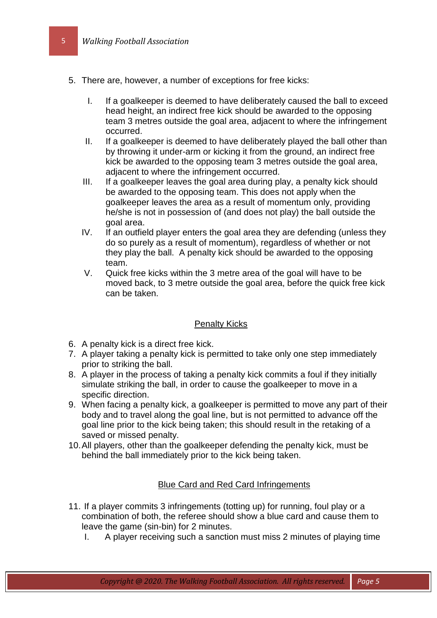- 5. There are, however, a number of exceptions for free kicks:
	- I. If a goalkeeper is deemed to have deliberately caused the ball to exceed head height, an indirect free kick should be awarded to the opposing team 3 metres outside the goal area, adjacent to where the infringement occurred.
	- II. If a goalkeeper is deemed to have deliberately played the ball other than by throwing it under-arm or kicking it from the ground, an indirect free kick be awarded to the opposing team 3 metres outside the goal area, adjacent to where the infringement occurred.
	- III. If a goalkeeper leaves the goal area during play, a penalty kick should be awarded to the opposing team. This does not apply when the goalkeeper leaves the area as a result of momentum only, providing he/she is not in possession of (and does not play) the ball outside the goal area.
	- IV. If an outfield player enters the goal area they are defending (unless they do so purely as a result of momentum), regardless of whether or not they play the ball. A penalty kick should be awarded to the opposing team.
	- V. Quick free kicks within the 3 metre area of the goal will have to be moved back, to 3 metre outside the goal area, before the quick free kick can be taken.

#### Penalty Kicks

- 6. A penalty kick is a direct free kick.
- 7. A player taking a penalty kick is permitted to take only one step immediately prior to striking the ball.
- 8. A player in the process of taking a penalty kick commits a foul if they initially simulate striking the ball, in order to cause the goalkeeper to move in a specific direction.
- 9. When facing a penalty kick, a goalkeeper is permitted to move any part of their body and to travel along the goal line, but is not permitted to advance off the goal line prior to the kick being taken; this should result in the retaking of a saved or missed penalty.
- 10.All players, other than the goalkeeper defending the penalty kick, must be behind the ball immediately prior to the kick being taken.

## Blue Card and Red Card Infringements

- 11. If a player commits 3 infringements (totting up) for running, foul play or a combination of both, the referee should show a blue card and cause them to leave the game (sin-bin) for 2 minutes.
	- I. A player receiving such a sanction must miss 2 minutes of playing time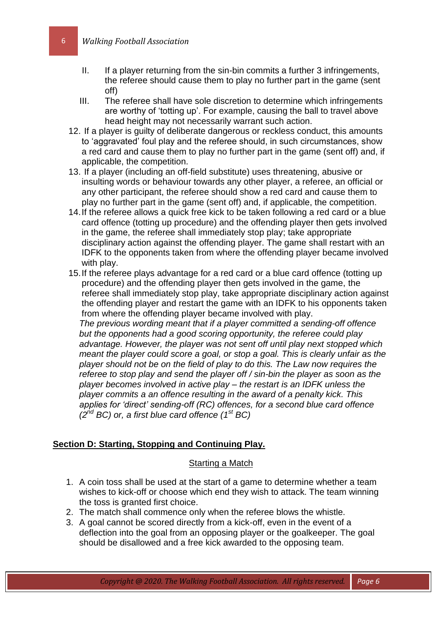- II. If a player returning from the sin-bin commits a further 3 infringements, the referee should cause them to play no further part in the game (sent off)
- III. The referee shall have sole discretion to determine which infringements are worthy of 'totting up'. For example, causing the ball to travel above head height may not necessarily warrant such action.
- 12. If a player is guilty of deliberate dangerous or reckless conduct, this amounts to 'aggravated' foul play and the referee should, in such circumstances, show a red card and cause them to play no further part in the game (sent off) and, if applicable, the competition.
- 13. If a player (including an off-field substitute) uses threatening, abusive or insulting words or behaviour towards any other player, a referee, an official or any other participant, the referee should show a red card and cause them to play no further part in the game (sent off) and, if applicable, the competition.
- 14.If the referee allows a quick free kick to be taken following a red card or a blue card offence (totting up procedure) and the offending player then gets involved in the game, the referee shall immediately stop play; take appropriate disciplinary action against the offending player. The game shall restart with an IDFK to the opponents taken from where the offending player became involved with play.
- 15.If the referee plays advantage for a red card or a blue card offence (totting up procedure) and the offending player then gets involved in the game, the referee shall immediately stop play, take appropriate disciplinary action against the offending player and restart the game with an IDFK to his opponents taken from where the offending player became involved with play. *The previous wording meant that if a player committed a sending-off offence*

*but the opponents had a good scoring opportunity, the referee could play advantage. However, the player was not sent off until play next stopped which meant the player could score a goal, or stop a goal. This is clearly unfair as the player should not be on the field of play to do this. The Law now requires the referee to stop play and send the player off / sin-bin the player as soon as the player becomes involved in active play – the restart is an IDFK unless the player commits a an offence resulting in the award of a penalty kick. This applies for 'direct' sending-off (RC) offences, for a second blue card offence (2 nd BC) or, a first blue card offence (1st BC)*

#### **Section D: Starting, Stopping and Continuing Play.**

#### Starting a Match

- 1. A coin toss shall be used at the start of a game to determine whether a team wishes to kick-off or choose which end they wish to attack. The team winning the toss is granted first choice.
- 2. The match shall commence only when the referee blows the whistle.
- 3. A goal cannot be scored directly from a kick-off, even in the event of a deflection into the goal from an opposing player or the goalkeeper. The goal should be disallowed and a free kick awarded to the opposing team.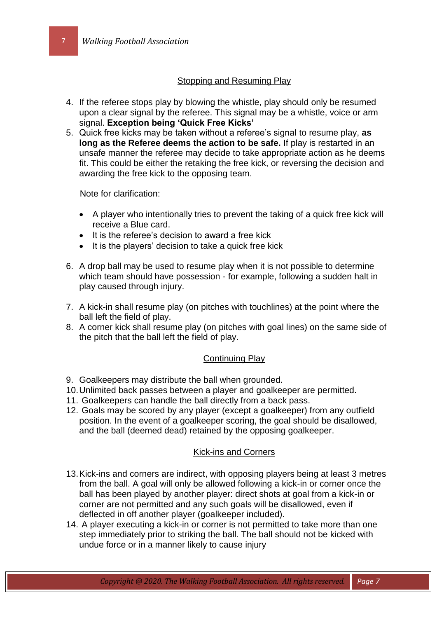## **Stopping and Resuming Play**

- 4. If the referee stops play by blowing the whistle, play should only be resumed upon a clear signal by the referee. This signal may be a whistle, voice or arm signal. **Exception being 'Quick Free Kicks'**
- 5. Quick free kicks may be taken without a referee's signal to resume play, **as long as the Referee deems the action to be safe.** If play is restarted in an unsafe manner the referee may decide to take appropriate action as he deems fit. This could be either the retaking the free kick, or reversing the decision and awarding the free kick to the opposing team.

Note for clarification:

- A player who intentionally tries to prevent the taking of a quick free kick will receive a Blue card.
- It is the referee's decision to award a free kick
- It is the players' decision to take a quick free kick
- 6. A drop ball may be used to resume play when it is not possible to determine which team should have possession - for example, following a sudden halt in play caused through injury.
- 7. A kick-in shall resume play (on pitches with touchlines) at the point where the ball left the field of play.
- 8. A corner kick shall resume play (on pitches with goal lines) on the same side of the pitch that the ball left the field of play.

#### Continuing Play

- 9. Goalkeepers may distribute the ball when grounded.
- 10.Unlimited back passes between a player and goalkeeper are permitted.
- 11. Goalkeepers can handle the ball directly from a back pass.
- 12. Goals may be scored by any player (except a goalkeeper) from any outfield position. In the event of a goalkeeper scoring, the goal should be disallowed, and the ball (deemed dead) retained by the opposing goalkeeper.

#### Kick-ins and Corners

- 13.Kick-ins and corners are indirect, with opposing players being at least 3 metres from the ball. A goal will only be allowed following a kick-in or corner once the ball has been played by another player: direct shots at goal from a kick-in or corner are not permitted and any such goals will be disallowed, even if deflected in off another player (goalkeeper included).
- 14. A player executing a kick-in or corner is not permitted to take more than one step immediately prior to striking the ball. The ball should not be kicked with undue force or in a manner likely to cause injury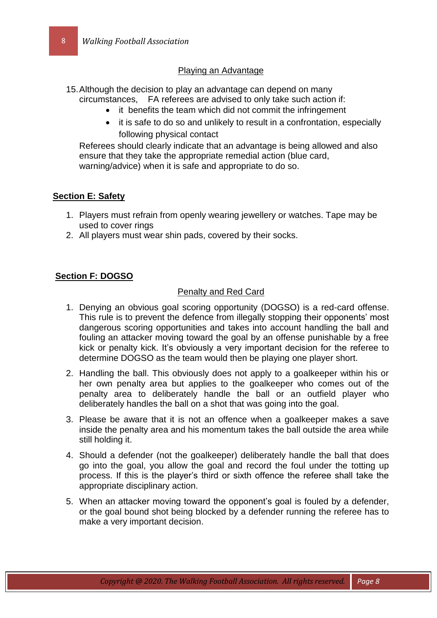# Playing an Advantage

- 15.Although the decision to play an advantage can depend on many circumstances, FA referees are advised to only take such action if:
	- it benefits the team which did not commit the infringement
	- it is safe to do so and unlikely to result in a confrontation, especially following physical contact

Referees should clearly indicate that an advantage is being allowed and also ensure that they take the appropriate remedial action (blue card, warning/advice) when it is safe and appropriate to do so.

## **Section E: Safety**

- 1. Players must refrain from openly wearing jewellery or watches. Tape may be used to cover rings
- 2. All players must wear shin pads, covered by their socks.

# **Section F: DOGSO**

## Penalty and Red Card

- 1. Denying an obvious goal scoring opportunity (DOGSO) is a red-card offense. This rule is to prevent the defence from illegally stopping their opponents' most dangerous scoring opportunities and takes into account handling the ball and fouling an attacker moving toward the goal by an offense punishable by a free kick or penalty kick. It's obviously a very important decision for the referee to determine DOGSO as the team would then be playing one player short.
- 2. Handling the ball. This obviously does not apply to a goalkeeper within his or her own penalty area but applies to the goalkeeper who comes out of the penalty area to deliberately handle the ball or an outfield player who deliberately handles the ball on a shot that was going into the goal.
- 3. Please be aware that it is not an offence when a goalkeeper makes a save inside the penalty area and his momentum takes the ball outside the area while still holding it.
- 4. Should a defender (not the goalkeeper) deliberately handle the ball that does go into the goal, you allow the goal and record the foul under the totting up process. If this is the player's third or sixth offence the referee shall take the appropriate disciplinary action.
- 5. When an attacker moving toward the opponent's goal is fouled by a defender, or the goal bound shot being blocked by a defender running the referee has to make a very important decision.